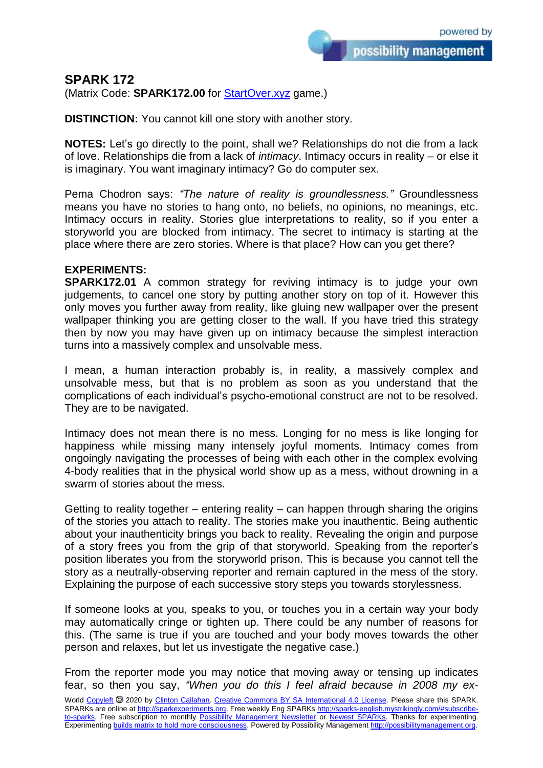possibility management

**SPARK 172**

(Matrix Code: **SPARK172.00** for **StartOver.xyz** game.)

**DISTINCTION:** You cannot kill one story with another story.

**NOTES:** Let's go directly to the point, shall we? Relationships do not die from a lack of love. Relationships die from a lack of *intimacy*. Intimacy occurs in reality – or else it is imaginary. You want imaginary intimacy? Go do computer sex.

Pema Chodron says: *"The nature of reality is groundlessness."* Groundlessness means you have no stories to hang onto, no beliefs, no opinions, no meanings, etc. Intimacy occurs in reality. Stories glue interpretations to reality, so if you enter a storyworld you are blocked from intimacy. The secret to intimacy is starting at the place where there are zero stories. Where is that place? How can you get there?

## **EXPERIMENTS:**

**SPARK172.01** A common strategy for reviving intimacy is to judge your own judgements, to cancel one story by putting another story on top of it. However this only moves you further away from reality, like gluing new wallpaper over the present wallpaper thinking you are getting closer to the wall. If you have tried this strategy then by now you may have given up on intimacy because the simplest interaction turns into a massively complex and unsolvable mess.

I mean, a human interaction probably is, in reality, a massively complex and unsolvable mess, but that is no problem as soon as you understand that the complications of each individual's psycho-emotional construct are not to be resolved. They are to be navigated.

Intimacy does not mean there is no mess. Longing for no mess is like longing for happiness while missing many intensely joyful moments. Intimacy comes from ongoingly navigating the processes of being with each other in the complex evolving 4-body realities that in the physical world show up as a mess, without drowning in a swarm of stories about the mess.

Getting to reality together – entering reality – can happen through sharing the origins of the stories you attach to reality. The stories make you inauthentic. Being authentic about your inauthenticity brings you back to reality. Revealing the origin and purpose of a story frees you from the grip of that storyworld. Speaking from the reporter's position liberates you from the storyworld prison. This is because you cannot tell the story as a neutrally-observing reporter and remain captured in the mess of the story. Explaining the purpose of each successive story steps you towards storylessness.

If someone looks at you, speaks to you, or touches you in a certain way your body may automatically cringe or tighten up. There could be any number of reasons for this. (The same is true if you are touched and your body moves towards the other person and relaxes, but let us investigate the negative case.)

From the reporter mode you may notice that moving away or tensing up indicates fear, so then you say, *"When you do this I feel afraid because in 2008 my ex-*